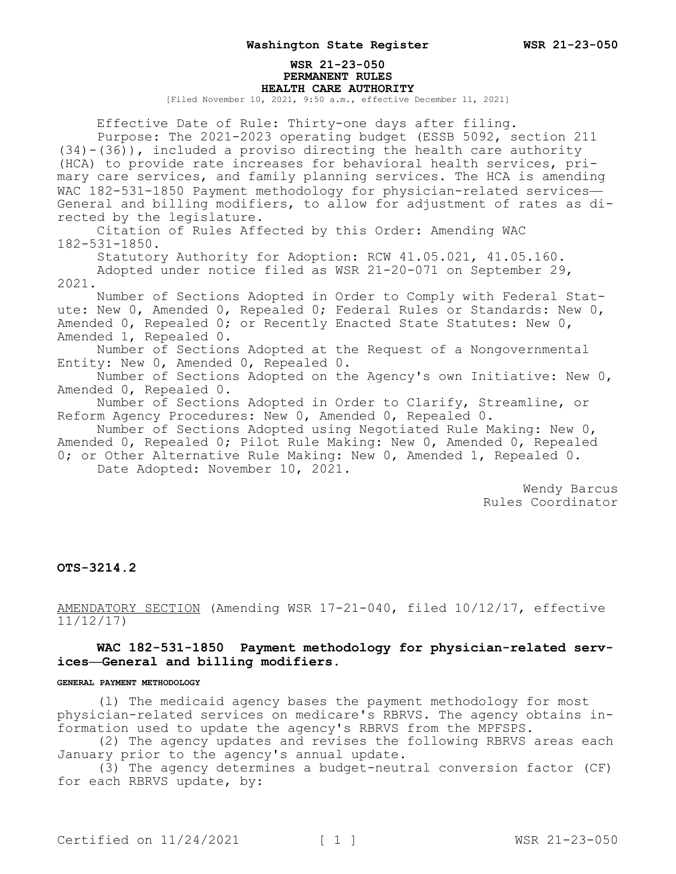#### **WSR 21-23-050 PERMANENT RULES HEALTH CARE AUTHORITY**

[Filed November 10, 2021, 9:50 a.m., effective December 11, 2021]

Effective Date of Rule: Thirty-one days after filing. Purpose: The 2021-2023 operating budget (ESSB 5092, section 211 (34)-(36)), included a proviso directing the health care authority (HCA) to provide rate increases for behavioral health services, primary care services, and family planning services. The HCA is amending WAC 182-531-1850 Payment methodology for physician-related services-General and billing modifiers, to allow for adjustment of rates as directed by the legislature. Citation of Rules Affected by this Order: Amending WAC 182-531-1850. Statutory Authority for Adoption: RCW 41.05.021, 41.05.160. Adopted under notice filed as WSR 21-20-071 on September 29, 2021. Number of Sections Adopted in Order to Comply with Federal Statute: New 0, Amended 0, Repealed 0; Federal Rules or Standards: New 0, Amended 0, Repealed 0; or Recently Enacted State Statutes: New 0, Amended 1, Repealed 0.

Number of Sections Adopted at the Request of a Nongovernmental Entity: New 0, Amended 0, Repealed 0.

Number of Sections Adopted on the Agency's own Initiative: New 0, Amended 0, Repealed 0.

Number of Sections Adopted in Order to Clarify, Streamline, or Reform Agency Procedures: New 0, Amended 0, Repealed 0.

Number of Sections Adopted using Negotiated Rule Making: New 0, Amended 0, Repealed 0; Pilot Rule Making: New 0, Amended 0, Repealed 0; or Other Alternative Rule Making: New 0, Amended 1, Repealed 0. Date Adopted: November 10, 2021.

> Wendy Barcus Rules Coordinator

## **OTS-3214.2**

AMENDATORY SECTION (Amending WSR 17-21-040, filed 10/12/17, effective 11/12/17)

# **WAC 182-531-1850 Payment methodology for physician-related services—General and billing modifiers.**

#### **GENERAL PAYMENT METHODOLOGY**

(l) The medicaid agency bases the payment methodology for most physician-related services on medicare's RBRVS. The agency obtains information used to update the agency's RBRVS from the MPFSPS.

(2) The agency updates and revises the following RBRVS areas each January prior to the agency's annual update.

(3) The agency determines a budget-neutral conversion factor (CF) for each RBRVS update, by: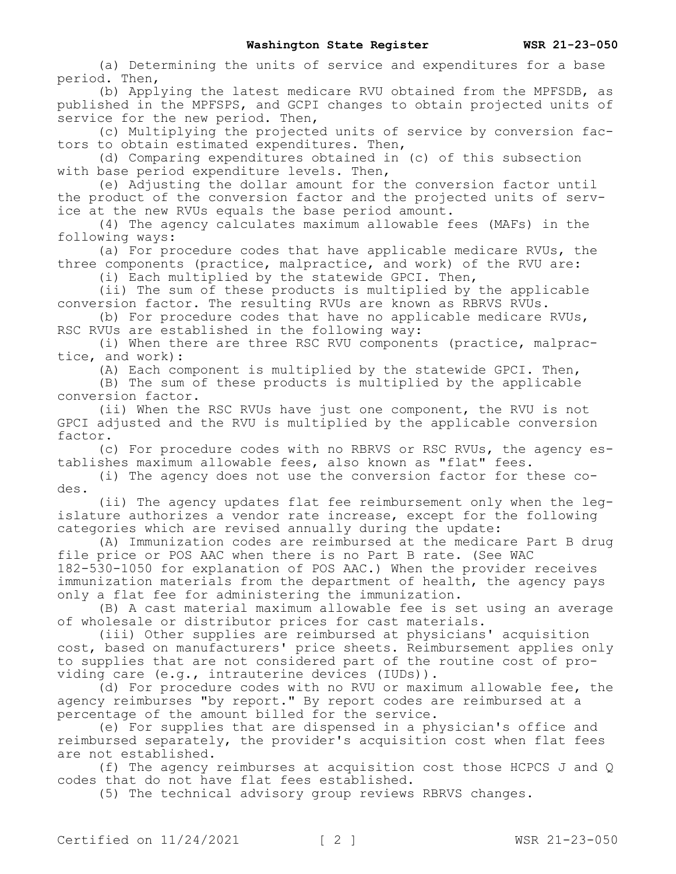(a) Determining the units of service and expenditures for a base period. Then,

(b) Applying the latest medicare RVU obtained from the MPFSDB, as published in the MPFSPS, and GCPI changes to obtain projected units of service for the new period. Then,

(c) Multiplying the projected units of service by conversion factors to obtain estimated expenditures. Then,

(d) Comparing expenditures obtained in (c) of this subsection with base period expenditure levels. Then,

(e) Adjusting the dollar amount for the conversion factor until the product of the conversion factor and the projected units of service at the new RVUs equals the base period amount.

(4) The agency calculates maximum allowable fees (MAFs) in the following ways:

(a) For procedure codes that have applicable medicare RVUs, the three components (practice, malpractice, and work) of the RVU are:

(i) Each multiplied by the statewide GPCI. Then,

(ii) The sum of these products is multiplied by the applicable conversion factor. The resulting RVUs are known as RBRVS RVUs.

(b) For procedure codes that have no applicable medicare RVUs, RSC RVUs are established in the following way:

(i) When there are three RSC RVU components (practice, malpractice, and work):

(A) Each component is multiplied by the statewide GPCI. Then,

(B) The sum of these products is multiplied by the applicable conversion factor.

(ii) When the RSC RVUs have just one component, the RVU is not GPCI adjusted and the RVU is multiplied by the applicable conversion factor.

(c) For procedure codes with no RBRVS or RSC RVUs, the agency establishes maximum allowable fees, also known as "flat" fees.

(i) The agency does not use the conversion factor for these codes.

(ii) The agency updates flat fee reimbursement only when the legislature authorizes a vendor rate increase, except for the following categories which are revised annually during the update:

(A) Immunization codes are reimbursed at the medicare Part B drug file price or POS AAC when there is no Part B rate. (See WAC 182-530-1050 for explanation of POS AAC.) When the provider receives

immunization materials from the department of health, the agency pays only a flat fee for administering the immunization.

(B) A cast material maximum allowable fee is set using an average of wholesale or distributor prices for cast materials.

(iii) Other supplies are reimbursed at physicians' acquisition cost, based on manufacturers' price sheets. Reimbursement applies only to supplies that are not considered part of the routine cost of providing care (e.g., intrauterine devices (IUDs)).

(d) For procedure codes with no RVU or maximum allowable fee, the agency reimburses "by report." By report codes are reimbursed at a percentage of the amount billed for the service.

(e) For supplies that are dispensed in a physician's office and reimbursed separately, the provider's acquisition cost when flat fees are not established.

(f) The agency reimburses at acquisition cost those HCPCS J and Q codes that do not have flat fees established.

(5) The technical advisory group reviews RBRVS changes.